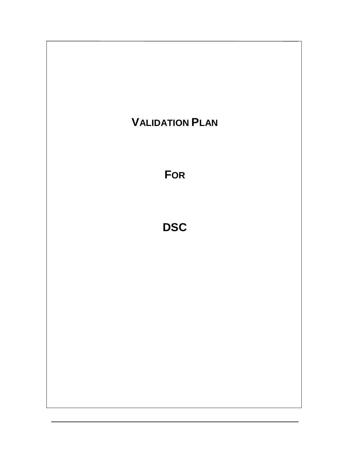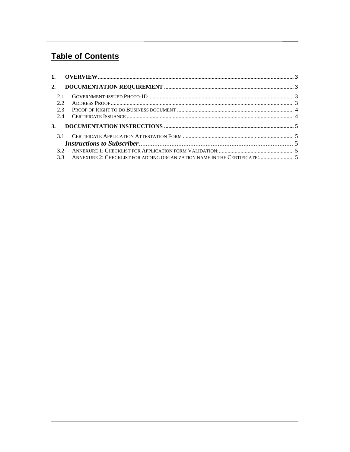# **Table of Contents**

| 2.  |                                                                              |  |
|-----|------------------------------------------------------------------------------|--|
| 2.1 |                                                                              |  |
| 22  |                                                                              |  |
| 23  |                                                                              |  |
| 2.4 |                                                                              |  |
| 3.  |                                                                              |  |
| 31  |                                                                              |  |
|     |                                                                              |  |
| 32  |                                                                              |  |
|     | 3.3 ANNEXURE 2: CHECKLIST FOR ADDING ORGANIZATION NAME IN THE CERTIFICATE: 5 |  |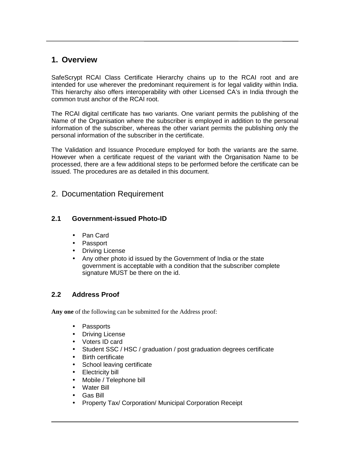# **1. Overview**

SafeScrypt RCAI Class Certificate Hierarchy chains up to the RCAI root and are intended for use wherever the predominant requirement is for legal validity within India. This hierarchy also offers interoperability with other Licensed CA's in India through the common trust anchor of the RCAI root.

The RCAI digital certificate has two variants. One variant permits the publishing of the Name of the Organisation where the subscriber is employed in addition to the personal information of the subscriber, whereas the other variant permits the publishing only the personal information of the subscriber in the certificate.

The Validation and Issuance Procedure employed for both the variants are the same. However when a certificate request of the variant with the Organisation Name to be processed, there are a few additional steps to be performed before the certificate can be issued. The procedures are as detailed in this document.

## 2. Documentation Requirement

## **2.1 Government-issued Photo-ID**

- Pan Card
- Passport
- Driving License
- Any other photo id issued by the Government of India or the state government is acceptable with a condition that the subscriber complete signature MUST be there on the id.

## **2.2 Address Proof**

**Any one** of the following can be submitted for the Address proof:

- Passports
- Driving License
- Voters ID card
- Student SSC / HSC / graduation / post graduation degrees certificate
- Birth certificate
- School leaving certificate
- Electricity bill
- Mobile / Telephone bill
- Water Bill
- Gas Bill
- Property Tax/ Corporation/ Municipal Corporation Receipt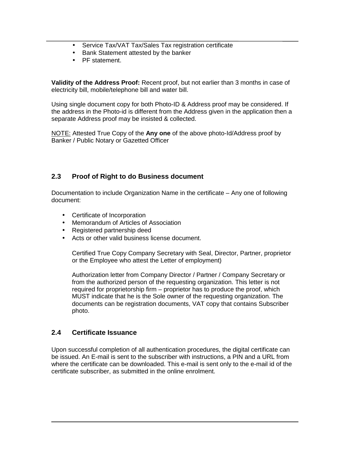- Service Tax/VAT Tax/Sales Tax registration certificate
- Bank Statement attested by the banker
- PF statement.

**Validity of the Address Proof:** Recent proof, but not earlier than 3 months in case of electricity bill, mobile/telephone bill and water bill.

Using single document copy for both Photo-ID & Address proof may be considered. If the address in the Photo-id is different from the Address given in the application then a separate Address proof may be insisted & collected.

NOTE: Attested True Copy of the **Any one** of the above photo-Id/Address proof by Banker / Public Notary or Gazetted Officer

## **2.3 Proof of Right to do Business document**

Documentation to include Organization Name in the certificate – Any one of following document:

- Certificate of Incorporation
- Memorandum of Articles of Association
- Registered partnership deed
- Acts or other valid business license document.

Certified True Copy Company Secretary with Seal, Director, Partner, proprietor or the Employee who attest the Letter of employment)

Authorization letter from Company Director / Partner / Company Secretary or from the authorized person of the requesting organization. This letter is not required for proprietorship firm – proprietor has to produce the proof, which MUST indicate that he is the Sole owner of the requesting organization. The documents can be registration documents, VAT copy that contains Subscriber photo.

## **2.4 Certificate Issuance**

Upon successful completion of all authentication procedures, the digital certificate can be issued. An E-mail is sent to the subscriber with instructions, a PIN and a URL from where the certificate can be downloaded. This e-mail is sent only to the e-mail id of the certificate subscriber, as submitted in the online enrolment.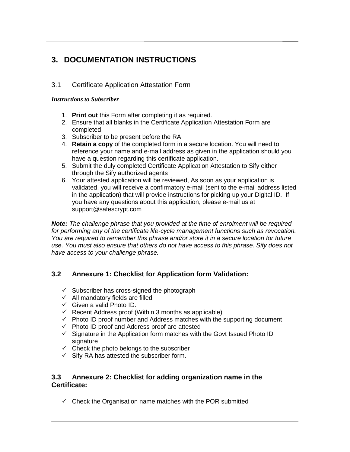# **3. DOCUMENTATION INSTRUCTIONS**

## 3.1 Certificate Application Attestation Form

### *Instructions to Subscriber*

- 1. **Print out** this Form after completing it as required.
- 2. Ensure that all blanks in the Certificate Application Attestation Form are completed
- 3. Subscriber to be present before the RA
- 4. **Retain a copy** of the completed form in a secure location. You will need to reference your name and e-mail address as given in the application should you have a question regarding this certificate application.
- 5. Submit the duly completed Certificate Application Attestation to Sify either through the Sify authorized agents
- 6. Your attested application will be reviewed, As soon as your application is validated, you will receive a confirmatory e-mail (sent to the e-mail address listed in the application) that will provide instructions for picking up your Digital ID. If you have any questions about this application, please e-mail us at support@safescrypt.com

**Note:** The challenge phrase that you provided at the time of enrolment will be required for performing any of the certificate life-cycle management functions such as revocation. You are required to remember this phrase and/or store it in a secure location for future use. You must also ensure that others do not have access to this phrase. Sify does not have access to your challenge phrase.

## **3.2 Annexure 1: Checklist for Application form Validation:**

- $\checkmark$  Subscriber has cross-signed the photograph
- $\checkmark$  All mandatory fields are filled
- $\checkmark$  Given a valid Photo ID.
- $\checkmark$  Recent Address proof (Within 3 months as applicable)
- $\checkmark$  Photo ID proof number and Address matches with the supporting document
- $\checkmark$  Photo ID proof and Address proof are attested
- $\checkmark$  Signature in the Application form matches with the Govt Issued Photo ID signature
- $\checkmark$  Check the photo belongs to the subscriber
- $\checkmark$  Sify RA has attested the subscriber form.

## **3.3 Annexure 2: Checklist for adding organization name in the Certificate:**

 $\checkmark$  Check the Organisation name matches with the POR submitted